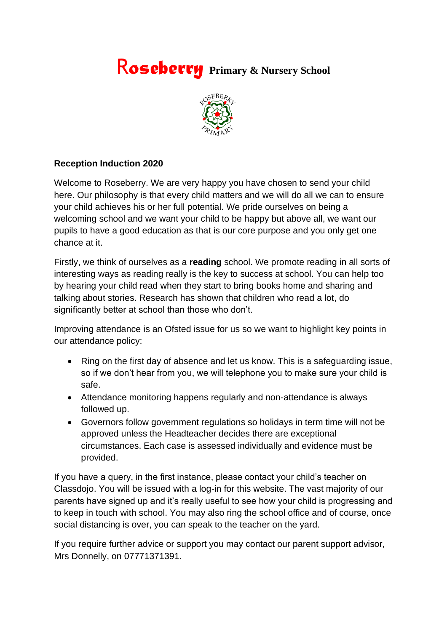## R*oseberry* **Primary & Nursery School**



## **Reception Induction 2020**

Welcome to Roseberry. We are very happy you have chosen to send your child here. Our philosophy is that every child matters and we will do all we can to ensure your child achieves his or her full potential. We pride ourselves on being a welcoming school and we want your child to be happy but above all, we want our pupils to have a good education as that is our core purpose and you only get one chance at it.

Firstly, we think of ourselves as a **reading** school. We promote reading in all sorts of interesting ways as reading really is the key to success at school. You can help too by hearing your child read when they start to bring books home and sharing and talking about stories. Research has shown that children who read a lot, do significantly better at school than those who don't.

Improving attendance is an Ofsted issue for us so we want to highlight key points in our attendance policy:

- Ring on the first day of absence and let us know. This is a safeguarding issue, so if we don't hear from you, we will telephone you to make sure your child is safe.
- Attendance monitoring happens regularly and non-attendance is always followed up.
- Governors follow government regulations so holidays in term time will not be approved unless the Headteacher decides there are exceptional circumstances. Each case is assessed individually and evidence must be provided.

If you have a query, in the first instance, please contact your child's teacher on Classdojo. You will be issued with a log-in for this website. The vast majority of our parents have signed up and it's really useful to see how your child is progressing and to keep in touch with school. You may also ring the school office and of course, once social distancing is over, you can speak to the teacher on the yard.

If you require further advice or support you may contact our parent support advisor, Mrs Donnelly, on 07771371391.